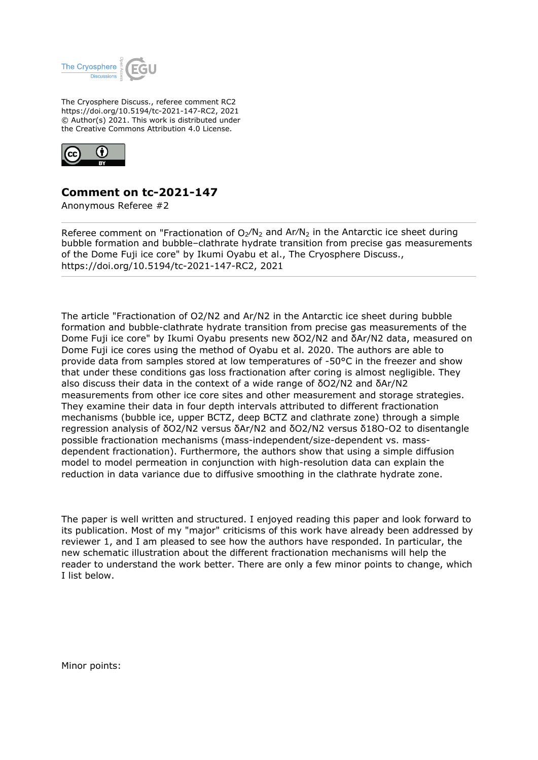

The Cryosphere Discuss., referee comment RC2 https://doi.org/10.5194/tc-2021-147-RC2, 2021 © Author(s) 2021. This work is distributed under the Creative Commons Attribution 4.0 License.



## **Comment on tc-2021-147**

Anonymous Referee #2

Referee comment on "Fractionation of  $O_2/N_2$  and Ar/N<sub>2</sub> in the Antarctic ice sheet during bubble formation and bubble–clathrate hydrate transition from precise gas measurements of the Dome Fuji ice core" by Ikumi Oyabu et al., The Cryosphere Discuss., https://doi.org/10.5194/tc-2021-147-RC2, 2021

The article "Fractionation of O2/N2 and Ar/N2 in the Antarctic ice sheet during bubble formation and bubble-clathrate hydrate transition from precise gas measurements of the Dome Fuji ice core" by Ikumi Oyabu presents new δO2/N2 and δAr/N2 data, measured on Dome Fuji ice cores using the method of Oyabu et al. 2020. The authors are able to provide data from samples stored at low temperatures of -50°C in the freezer and show that under these conditions gas loss fractionation after coring is almost negligible. They also discuss their data in the context of a wide range of δO2/N2 and δAr/N2 measurements from other ice core sites and other measurement and storage strategies. They examine their data in four depth intervals attributed to different fractionation mechanisms (bubble ice, upper BCTZ, deep BCTZ and clathrate zone) through a simple regression analysis of δO2/N2 versus δAr/N2 and δO2/N2 versus δ18O-O2 to disentangle possible fractionation mechanisms (mass-independent/size-dependent vs. massdependent fractionation). Furthermore, the authors show that using a simple diffusion model to model permeation in conjunction with high-resolution data can explain the reduction in data variance due to diffusive smoothing in the clathrate hydrate zone.

The paper is well written and structured. I enjoyed reading this paper and look forward to its publication. Most of my "major" criticisms of this work have already been addressed by reviewer 1, and I am pleased to see how the authors have responded. In particular, the new schematic illustration about the different fractionation mechanisms will help the reader to understand the work better. There are only a few minor points to change, which I list below.

Minor points: